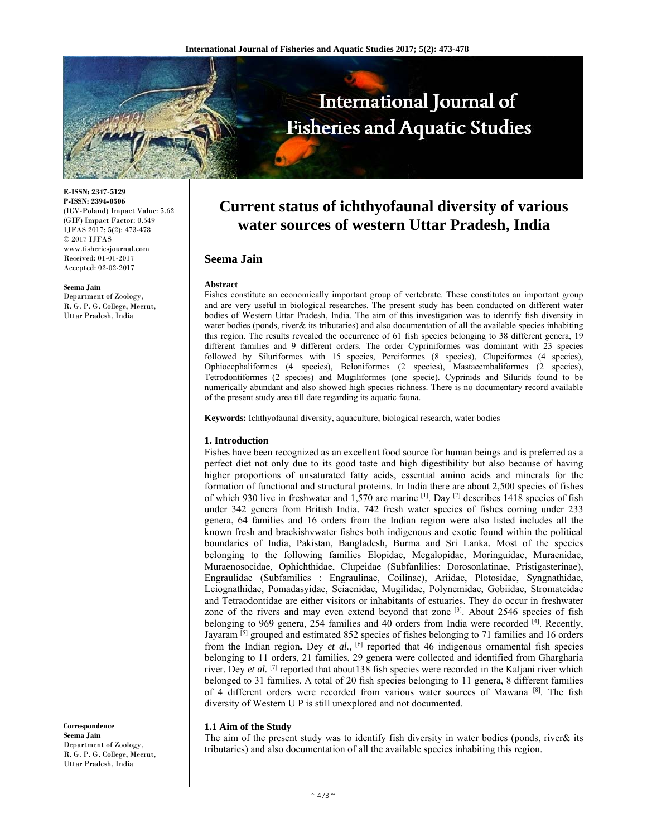

**E-ISSN: 2347-5129 P-ISSN: 2394-0506**  (ICV-Poland) Impact Value: 5.62 (GIF) Impact Factor: 0.549 IJFAS 2017; 5(2): 473-478  $\odot$  2017 IJFAS www.fisheriesjournal.com Received: 01-01-2017 Accepted: 02-02-2017

#### **Seema Jain**

Department of Zoology, R. G. P. G. College, Meerut, Uttar Pradesh, India

**Current status of ichthyofaunal diversity of various water sources of western Uttar Pradesh, India** 

# **Seema Jain**

#### **Abstract**

Fishes constitute an economically important group of vertebrate. These constitutes an important group and are very useful in biological researches. The present study has been conducted on different water bodies of Western Uttar Pradesh, India. The aim of this investigation was to identify fish diversity in water bodies (ponds, river& its tributaries) and also documentation of all the available species inhabiting this region. The results revealed the occurrence of 61 fish species belonging to 38 different genera, 19 different families and 9 different orders. The order Cypriniformes was dominant with 23 species followed by Siluriformes with 15 species, Perciformes (8 species), Clupeiformes (4 species), Ophiocephaliformes (4 species), Beloniformes (2 species), Mastacembaliformes (2 species), Tetrodontiformes (2 species) and Mugiliformes (one specie). Cyprinids and Silurids found to be numerically abundant and also showed high species richness. There is no documentary record available of the present study area till date regarding its aquatic fauna.

**Keywords:** Ichthyofaunal diversity, aquaculture, biological research, water bodies

#### **1. Introduction**

Fishes have been recognized as an excellent food source for human beings and is preferred as a perfect diet not only due to its good taste and high digestibility but also because of having higher proportions of unsaturated fatty acids, essential amino acids and minerals for the formation of functional and structural proteins. In India there are about 2,500 species of fishes of which 930 live in freshwater and 1,570 are marine [1]. Day [2] describes 1418 species of fish under 342 genera from British India. 742 fresh water species of fishes coming under 233 genera, 64 families and 16 orders from the Indian region were also listed includes all the known fresh and brackishvwater fishes both indigenous and exotic found within the political boundaries of India, Pakistan, Bangladesh, Burma and Sri Lanka. Most of the species belonging to the following families Elopidae, Megalopidae, Moringuidae, Muraenidae, Muraenosocidae, Ophichthidae, Clupeidae (Subfanlilies: Dorosonlatinae, Pristigasterinae), Engraulidae (Subfamilies : Engraulinae, Coilinae), Ariidae, Plotosidae, Syngnathidae, Leiognathidae, Pomadasyidae, Sciaenidae, Mugilidae, Polynemidae, Gobiidae, Stromateidae and Tetraodontidae are either visitors or inhabitants of estuaries. They do occur in freshwater zone of the rivers and may even extend beyond that zone [3]. About 2546 species of fish belonging to 969 genera, 254 families and 40 orders from India were recorded  $^{[4]}$ . Recently, Jayaram [5] grouped and estimated 852 species of fishes belonging to 71 families and 16 orders from the Indian region**.** Dey *et al.,* [6] reported that 46 indigenous ornamental fish species belonging to 11 orders, 21 families, 29 genera were collected and identified from Ghargharia river. Dey *et al.* <sup>[7]</sup> reported that about 138 fish species were recorded in the Kaljani river which belonged to 31 families. A total of 20 fish species belonging to 11 genera, 8 different families of 4 different orders were recorded from various water sources of Mawana<sup>[8]</sup>. The fish diversity of Western U P is still unexplored and not documented.

### **1.1 Aim of the Study**

The aim of the present study was to identify fish diversity in water bodies (ponds, river& its tributaries) and also documentation of all the available species inhabiting this region.

**Correspondence Seema Jain**  Department of Zoology, R. G. P. G. College, Meerut, Uttar Pradesh, India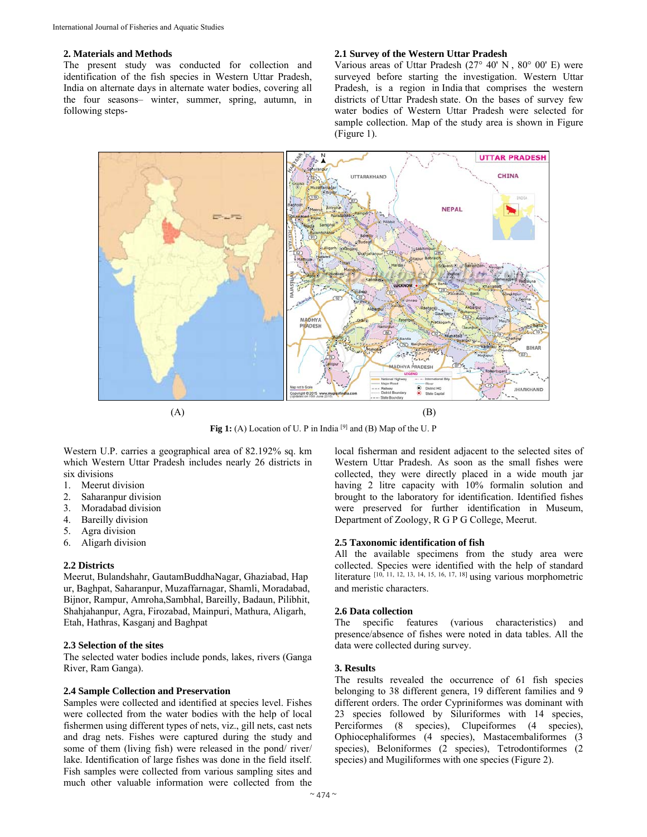### **2. Materials and Methods**

The present study was conducted for collection and identification of the fish species in Western Uttar Pradesh, India on alternate days in alternate water bodies, covering all the four seasons– winter, summer, spring, autumn, in following steps-

# **2.1 Survey of the Western Uttar Pradesh**

Various areas of Uttar Pradesh (27° 40' N , 80° 00' E) were surveyed before starting the investigation. Western Uttar Pradesh, is a region in India that comprises the western districts of Uttar Pradesh state. On the bases of survey few water bodies of Western Uttar Pradesh were selected for sample collection. Map of the study area is shown in Figure (Figure 1).



Fig 1: (A) Location of U. P in India <sup>[9]</sup> and (B) Map of the U. P

Western U.P. carries a geographical area of 82.192% sq. km which Western Uttar Pradesh includes nearly 26 districts in six divisions

- 1. Meerut division
- 2. Saharanpur division
- 3. Moradabad division
- 4. Bareilly division
- 5. Agra division
- 6. Aligarh division

### **2.2 Districts**

Meerut, Bulandshahr, GautamBuddhaNagar, Ghaziabad, Hap ur, Baghpat, Saharanpur, Muzaffarnagar, Shamli, Moradabad, Bijnor, Rampur, Amroha,Sambhal, Bareilly, Badaun, Pilibhit, Shahjahanpur, Agra, Firozabad, Mainpuri, Mathura, Aligarh, Etah, Hathras, Kasganj and Baghpat

## **2.3 Selection of the sites**

The selected water bodies include ponds, lakes, rivers (Ganga River, Ram Ganga).

#### **2.4 Sample Collection and Preservation**

Samples were collected and identified at species level. Fishes were collected from the water bodies with the help of local fishermen using different types of nets, viz., gill nets, cast nets and drag nets. Fishes were captured during the study and some of them (living fish) were released in the pond/ river/ lake. Identification of large fishes was done in the field itself. Fish samples were collected from various sampling sites and much other valuable information were collected from the

local fisherman and resident adjacent to the selected sites of Western Uttar Pradesh. As soon as the small fishes were collected, they were directly placed in a wide mouth jar having 2 litre capacity with 10% formalin solution and brought to the laboratory for identification. Identified fishes were preserved for further identification in Museum, Department of Zoology, R G P G College, Meerut.

### **2.5 Taxonomic identification of fish**

All the available specimens from the study area were collected. Species were identified with the help of standard literature [10, 11, 12, 13, 14, 15, 16, 17, 18] using various morphometric and meristic characters.

### **2.6 Data collection**

The specific features (various characteristics) and presence/absence of fishes were noted in data tables. All the data were collected during survey.

#### **3. Results**

The results revealed the occurrence of 61 fish species belonging to 38 different genera, 19 different families and 9 different orders. The order Cypriniformes was dominant with 23 species followed by Siluriformes with 14 species, Perciformes (8 species), Clupeiformes (4 species), Ophiocephaliformes (4 species), Mastacembaliformes (3 species), Beloniformes (2 species), Tetrodontiformes (2 species) and Mugiliformes with one species (Figure 2).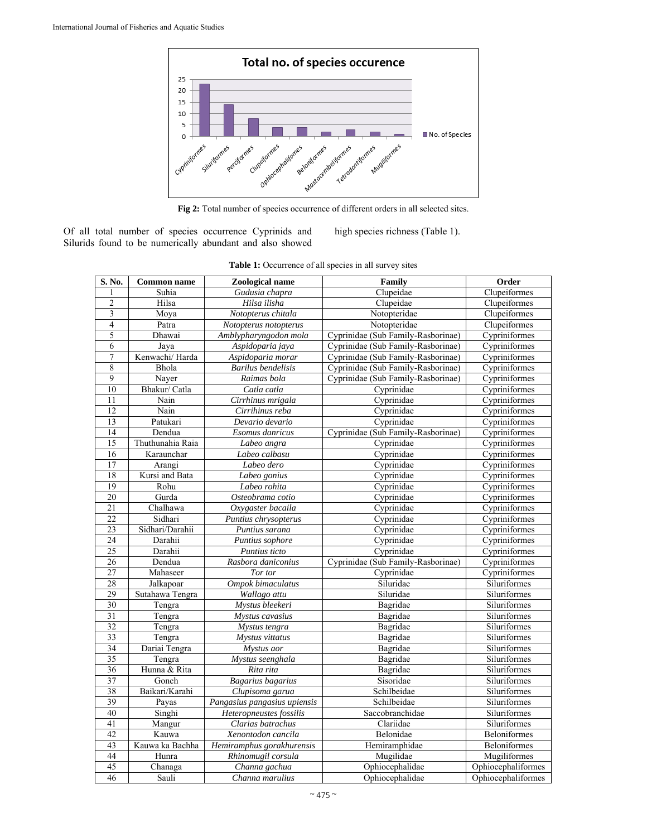

**Fig 2:** Total number of species occurrence of different orders in all selected sites.

Of all total number of species occurrence Cyprinids and Silurids found to be numerically abundant and also showed

high species richness (Table 1).

| S. No.          | <b>Common name</b> | Zoological name              | Family                             | Order              |
|-----------------|--------------------|------------------------------|------------------------------------|--------------------|
| 1               | Suhia              | Gudusia chapra               | Clupeidae                          | Clupeiformes       |
| $\overline{c}$  | Hilsa              | Hilsa ilisha                 | Clupeidae                          | Clupeiformes       |
| 3               | Moya               | Notopterus chitala           | Notopteridae                       | Clupeiformes       |
| $\overline{4}$  | Patra              | Notopterus notopterus        | Notopteridae                       | Clupeiformes       |
| 5               | Dhawai             | Amblypharyngodon mola        | Cyprinidae (Sub Family-Rasborinae) | Cypriniformes      |
| 6               | Jaya               | Aspidoparia jaya             | Cyprinidae (Sub Family-Rasborinae) | Cypriniformes      |
| 7               | Kenwachi/Harda     | Aspidoparia morar            | Cyprinidae (Sub Family-Rasborinae) | Cypriniformes      |
| 8               | Bhola              | <b>Barilus bendelisis</b>    | Cyprinidae (Sub Family-Rasborinae) | Cypriniformes      |
| 9               | Nayer              | Raimas bola                  | Cyprinidae (Sub Family-Rasborinae) | Cypriniformes      |
| 10              | Bhakur/ Catla      | Catla catla                  | Cyprinidae                         | Cypriniformes      |
| 11              | Nain               | Cirrhinus mrigala            | Cyprinidae                         | Cypriniformes      |
| 12              | Nain               | Cirrihinus reba              | Cyprinidae                         | Cypriniformes      |
| 13              | Patukari           | Devario devario              | Cyprinidae                         | Cypriniformes      |
| 14              | Dendua             | Esomus danricus              | Cyprinidae (Sub Family-Rasborinae) | Cypriniformes      |
| 15              | Thuthunahia Raia   | Labeo angra                  | Cyprinidae                         | Cypriniformes      |
| 16              | Karaunchar         | Labeo calbasu                | Cyprinidae                         | Cypriniformes      |
| 17              | Arangi             | Labeo dero                   | Cyprinidae                         | Cypriniformes      |
| 18              | Kursi and Bata     | Labeo gonius                 | Cyprinidae                         | Cypriniformes      |
| 19              | Rohu               | Labeo rohita                 | Cyprinidae                         | Cypriniformes      |
| 20              | Gurda              | Osteobrama cotio             | Cyprinidae                         | Cypriniformes      |
| 21              | Chalhawa           | Oxygaster bacaila            | Cyprinidae                         | Cypriniformes      |
| $\overline{22}$ | Sidhari            | Puntius chrysopterus         | Cyprinidae                         | Cypriniformes      |
| 23              | Sidhari/Darahii    | Puntius sarana               | Cyprinidae                         | Cypriniformes      |
| 24              | Darahii            | Puntius sophore              | Cyprinidae                         | Cypriniformes      |
| 25              | Darahii            | Puntius ticto                | Cyprinidae                         | Cypriniformes      |
| $\overline{26}$ | Dendua             | Rasbora daniconius           | Cyprinidae (Sub Family-Rasborinae) | Cypriniformes      |
| 27              | Mahaseer           | Tor tor                      | Cyprinidae                         | Cypriniformes      |
| 28              | Jalkapoar          | Ompok bimaculatus            | Siluridae                          | Siluriformes       |
| 29              | Sutahawa Tengra    | Wallago attu                 | Siluridae                          | Siluriformes       |
| 30              | Tengra             | Mystus bleekeri              | Bagridae                           | Siluriformes       |
| 31              | Tengra             | Mystus cavasius              | Bagridae                           | Siluriformes       |
| $\overline{32}$ | Tengra             | Mystus tengra                | Bagridae                           | Siluriformes       |
| 33              | Tengra             | Mystus vittatus              | Bagridae                           | Siluriformes       |
| $\overline{34}$ | Dariai Tengra      | Mystus aor                   | Bagridae                           | Siluriformes       |
| 35              | Tengra             | Mystus seenghala             | Bagridae                           | Siluriformes       |
| 36              | Hunna & Rita       | Rita rita                    | Bagridae                           | Siluriformes       |
| 37              | Gonch              | Bagarius bagarius            | Sisoridae                          | Siluriformes       |
| 38              | Baikari/Karahi     | Clupisoma garua              | Schilbeidae                        | Siluriformes       |
| 39              | Payas              | Pangasius pangasius upiensis | Schilbeidae                        | Siluriformes       |
| 40              | Singhi             | Heteropneustes fossilis      | Saccobranchidae                    | Siluriformes       |
| 41              | Mangur             | Clarias batrachus            | Clariidae                          | Siluriformes       |
| 42              | Kauwa              | Xenontodon cancila           | Belonidae                          | Beloniformes       |
| 43              | Kauwa ka Bachha    | Hemiramphus gorakhurensis    | Hemiramphidae                      | Beloniformes       |
| 44              | Hunra              | Rhinomugil corsula           | Mugilidae                          | Mugiliformes       |
| 45              | Chanaga            | Channa gachua                | Ophiocephalidae                    | Ophiocephaliformes |
| 46              | Sauli              | Channa marulius              | Ophiocephalidae                    | Ophiocephaliformes |

Table 1: Occurrence of all species in all survey sites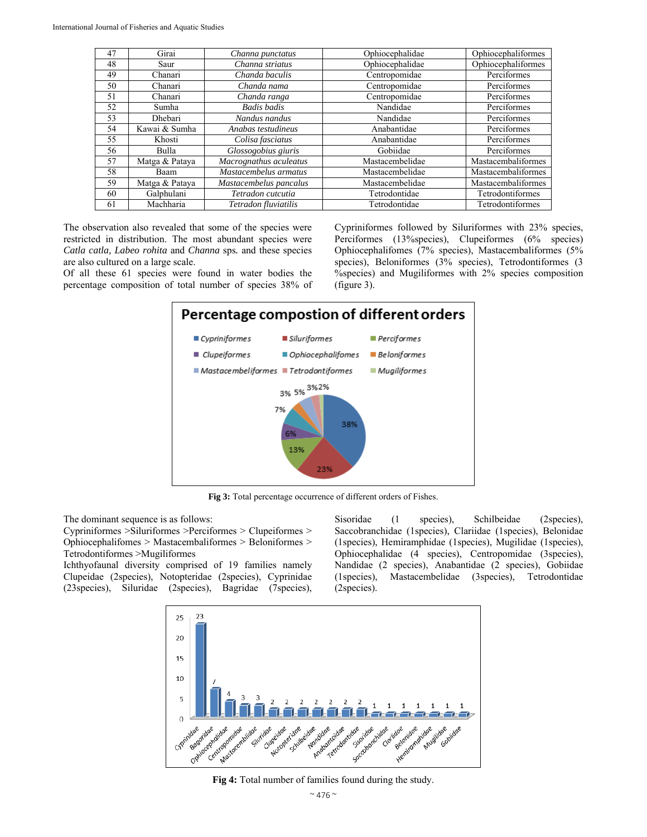| 47 | Girai          | Channa punctatus       | Ophiocephalidae | Ophiocephaliformes |
|----|----------------|------------------------|-----------------|--------------------|
| 48 | Saur           | Channa striatus        | Ophiocephalidae | Ophiocephaliformes |
| 49 | Chanari        | Chanda baculis         | Centropomidae   | Perciformes        |
| 50 | Chanari        | Chanda nama            | Centropomidae   | Perciformes        |
| 51 | Chanari        | Chanda ranga           | Centropomidae   | Perciformes        |
| 52 | Sumha          | <b>Badis</b> badis     | Nandidae        | Perciformes        |
| 53 | Dhebari        | Nandus nandus          | Nandidae        | Perciformes        |
| 54 | Kawai & Sumha  | Anabas testudineus     | Anabantidae     | Perciformes        |
| 55 | Khosti         | Colisa fasciatus       | Anabantidae     | Perciformes        |
| 56 | Bulla          | Glossogobius giuris    | Gobiidae        | Perciformes        |
| 57 | Matga & Pataya | Macrognathus aculeatus | Mastacembelidae | Mastacembaliformes |
| 58 | Baam           | Mastacembelus armatus  | Mastacembelidae | Mastacembaliformes |
| 59 | Matga & Pataya | Mastacembelus pancalus | Mastacembelidae | Mastacembaliformes |
| 60 | Galphulani     | Tetradon cutcutia      | Tetrodontidae   | Tetrodontiformes   |
| 61 | Machharia      | Tetradon fluviatilis   | Tetrodontidae   | Tetrodontiformes   |

The observation also revealed that some of the species were restricted in distribution. The most abundant species were *Catla catla, Labeo rohita* and *Channa* sps*.* and these species are also cultured on a large scale.

Of all these 61 species were found in water bodies the percentage composition of total number of species 38% of Cypriniformes followed by Siluriformes with 23% species, Perciformes (13%species), Clupeiformes (6% species) Ophiocephalifomes (7% species), Mastacembaliformes (5% species), Beloniformes (3% species), Tetrodontiformes (3 %species) and Mugiliformes with 2% species composition (figure 3).



**Fig 3:** Total percentage occurrence of different orders of Fishes.

The dominant sequence is as follows:

Cypriniformes >Siluriformes >Perciformes > Clupeiformes > Ophiocephalifomes > Mastacembaliformes > Beloniformes > Tetrodontiformes >Mugiliformes

Ichthyofaunal diversity comprised of 19 families namely Clupeidae (2species), Notopteridae (2species), Cyprinidae (23species), Siluridae (2species), Bagridae (7species), Sisoridae (1 species), Schilbeidae (2species), Saccobranchidae (1species), Clariidae (1species), Belonidae (1species), Hemiramphidae (1species), Mugilidae (1species), Ophiocephalidae (4 species), Centropomidae (3species), Nandidae (2 species), Anabantidae (2 species), Gobiidae (1species), Mastacembelidae (3species), Tetrodontidae (2species).



**Fig 4:** Total number of families found during the study.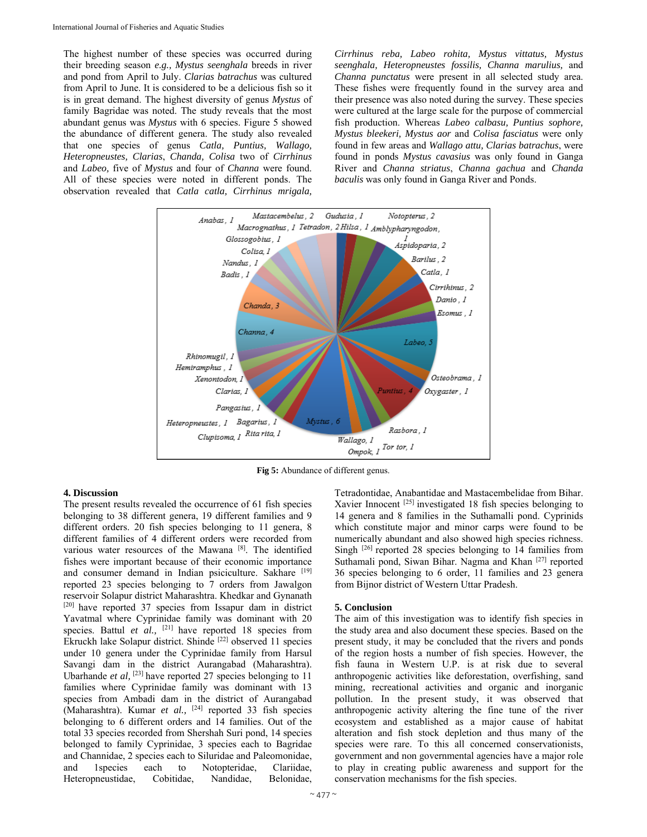The highest number of these species was occurred during their breeding season *e.g., Mystus seenghala* breeds in river and pond from April to July. *Clarias batrachus* was cultured from April to June. It is considered to be a delicious fish so it is in great demand. The highest diversity of genus *Mystus* of family Bagridae was noted. The study reveals that the most abundant genus was *Mystus* with 6 species. Figure 5 showed the abundance of different genera. The study also revealed that one species of genus *Catla, Puntius, Wallago, Heteropneustes, Clarias*, *Chanda, Colisa* two of *Cirrhinus*  and *Labeo,* five of *Mystus* and four of *Channa* were found. All of these species were noted in different ponds. The observation revealed that *Catla catla, Cirrhinus mrigala,* 

*Cirrhinus reba, Labeo rohita, Mystus vittatus, Mystus seenghala, Heteropneustes fossilis, Channa marulius,* and *Channa punctatus* were present in all selected study area. These fishes were frequently found in the survey area and their presence was also noted during the survey. These species were cultured at the large scale for the purpose of commercial fish production. Whereas *Labeo calbasu, Puntius sophore, Mystus bleekeri, Mystus aor* and *Colisa fasciatus* were only found in few areas and *Wallago attu, Clarias batrachus*, were found in ponds *Mystus cavasius* was only found in Ganga River and *Channa striatus*, *Channa gachua* and *Chanda baculis* was only found in Ganga River and Ponds.



**Fig 5:** Abundance of different genus.

# **4. Discussion**

The present results revealed the occurrence of 61 fish species belonging to 38 different genera, 19 different families and 9 different orders. 20 fish species belonging to 11 genera, 8 different families of 4 different orders were recorded from various water resources of the Mawana [8]. The identified fishes were important because of their economic importance and consumer demand in Indian psiciculture. Sakhare [19] reported 23 species belonging to 7 orders from Jawalgon reservoir Solapur district Maharashtra. Khedkar and Gynanath [20] have reported 37 species from Issapur dam in district Yavatmal where Cyprinidae family was dominant with 20 species. Battul *et al.*, <sup>[21]</sup> have reported 18 species from Ekruckh lake Solapur district. Shinde [22] observed 11 species under 10 genera under the Cyprinidae family from Harsul Savangi dam in the district Aurangabad (Maharashtra). Ubarhande *et al*, <sup>[23]</sup> have reported 27 species belonging to 11 families where Cyprinidae family was dominant with 13 species from Ambadi dam in the district of Aurangabad (Maharashtra). Kumar *et al.,* [24] reported 33 fish species belonging to 6 different orders and 14 families. Out of the total 33 species recorded from Shershah Suri pond, 14 species belonged to family Cyprinidae, 3 species each to Bagridae and Channidae, 2 species each to Siluridae and Paleomonidae, and 1species each to Notopteridae, Clariidae, Heteropneustidae, Cobitidae, Nandidae, Belonidae,

Tetradontidae, Anabantidae and Mastacembelidae from Bihar. Xavier Innocent <sup>[25]</sup> investigated 18 fish species belonging to 14 genera and 8 families in the Suthamalli pond. Cyprinids which constitute major and minor carps were found to be numerically abundant and also showed high species richness. Singh <sup>[26]</sup> reported 28 species belonging to 14 families from Suthamali pond, Siwan Bihar. Nagma and Khan [27] reported 36 species belonging to 6 order, 11 families and 23 genera from Bijnor district of Western Uttar Pradesh.

# **5. Conclusion**

The aim of this investigation was to identify fish species in the study area and also document these species. Based on the present study, it may be concluded that the rivers and ponds of the region hosts a number of fish species. However, the fish fauna in Western U.P. is at risk due to several anthropogenic activities like deforestation, overfishing, sand mining, recreational activities and organic and inorganic pollution. In the present study, it was observed that anthropogenic activity altering the fine tune of the river ecosystem and established as a major cause of habitat alteration and fish stock depletion and thus many of the species were rare. To this all concerned conservationists, government and non governmental agencies have a major role to play in creating public awareness and support for the conservation mechanisms for the fish species.